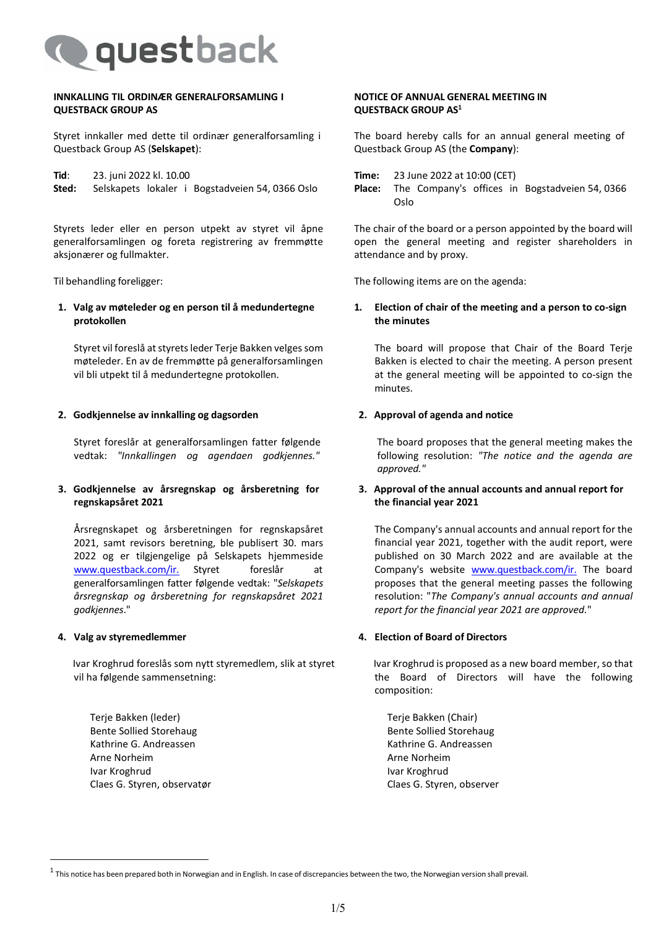

#### **INNKALLING TIL ORDINÆR GENERALFORSAMLING I QUESTBACK GROUP AS**

Styret innkaller med dette til ordinær generalforsamling i Questback Group AS (**Selskapet**):

**Tid:** 23. juni 2022 kl. 10.00<br>**Sted:** Selskapets lokaler i Selskapets lokaler i Bogstadveien 54, 0366 Oslo

Styrets leder eller en person utpekt av styret vil åpne generalforsamlingen og foreta registrering av fremmøtte aksjonærer og fullmakter.

**1. Valg av møteleder og en person til å medundertegne protokollen**

Styret vil foreslå at styrets leder Terje Bakken velges som møteleder. En av de fremmøtte på generalforsamlingen vil bli utpekt til å medundertegne protokollen.

#### **2. Godkjennelse av innkalling og dagsorden**

Styret foreslår at generalforsamlingen fatter følgende vedtak: *"Innkallingen og agendaen godkjennes."*

# **3. Godkjennelse av årsregnskap og årsberetning for regnskapsåret 2021**

Årsregnskapet og årsberetningen for regnskapsåret 2021, samt revisors beretning, ble publisert 30. mars 2022 og er tilgjengelige på Selskapets hjemmeside [www.questback.com/ir.](http://www.questback.com/ir.) Styret foreslår at generalforsamlingen fatter følgende vedtak: "*Selskapets årsregnskap og årsberetning for regnskapsåret 2021 godkjennes*."

#### **4. Valg av styremedlemmer**

Ivar Kroghrud foreslås som nytt styremedlem, slik at styret vil ha følgende sammensetning:

Terje Bakken (leder) Bente Sollied Storehaug Kathrine G. Andreassen Arne Norheim Ivar Kroghrud Claes G. Styren, observatør

#### **NOTICE OF ANNUAL GENERAL MEETING IN QUESTBACK GROUP AS1**

The board hereby calls for an annual general meeting of Questback Group AS (the **Company**):

**Place:** The Company's offices in Bogstadveien 54, 0366 Oslo

The chair of the board or a person appointed by the board will open the general meeting and register shareholders in attendance and by proxy.

Til behandling foreligger: The following items are on the agenda:

# **1. Election of chair of the meeting and a person to co-sign the minutes**

The board will propose that Chair of the Board Terje Bakken is elected to chair the meeting. A person present at the general meeting will be appointed to co-sign the minutes.

#### **2. Approval of agenda and notice**

The board proposes that the general meeting makes the following resolution: *"The notice and the agenda are approved."*

# **3. Approval of the annual accounts and annual report for the financial year 2021**

The Company's annual accounts and annual report for the financial year 2021, together with the audit report, were published on 30 March 2022 and are available at the Company's website [www.questback.com/ir.](http://www.questback.com/ir.) The board proposes that the general meeting passes the following resolution: "*The Company's annual accounts and annual report for the financial year 2021 are approved.*"

#### **4. Election of Board of Directors**

Ivar Kroghrud is proposed as a new board member, so that the Board of Directors will have the following composition:

Terje Bakken (Chair) Bente Sollied Storehaug Kathrine G. Andreassen Arne Norheim Ivar Kroghrud Claes G. Styren, observer

 $1$  This notice has been prepared both in Norwegian and in English. In case of discrepancies between the two, the Norwegian version shall prevail.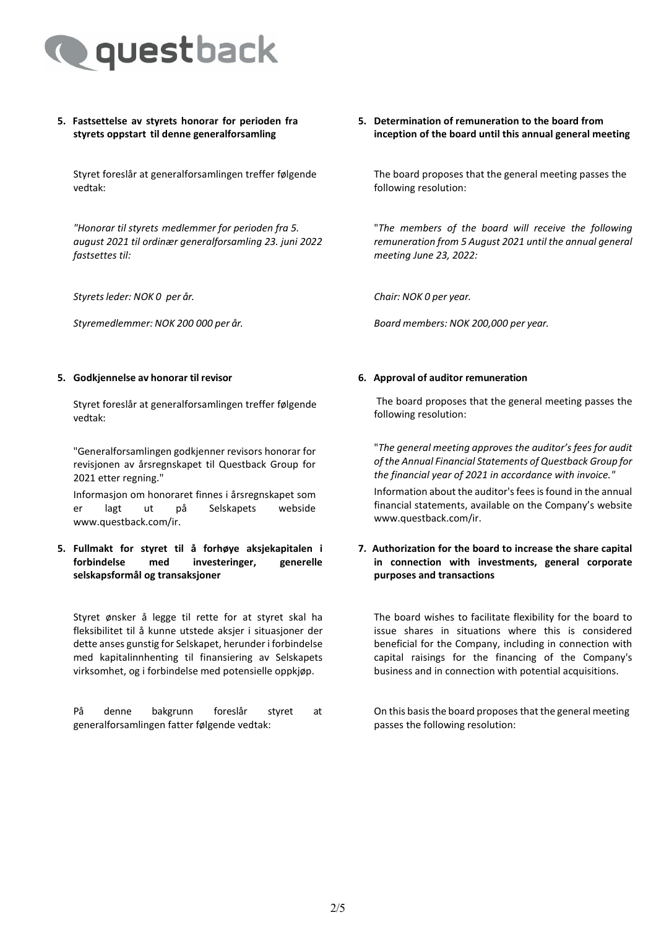

# **5. Fastsettelse av styrets honorar for perioden fra styrets oppstart til denne generalforsamling**

Styret foreslår at generalforsamlingen treffer følgende vedtak:

*"Honorar til styrets medlemmer for perioden fra 5. august 2021 til ordinær generalforsamling 23. juni 2022 fastsettes til:*

*Styretsleder: NOK 0 per år. Chair: NOK 0 per year.*

# **5. Godkjennelse av honorar til revisor 6. Approval of auditor remuneration**

Styret foreslår at generalforsamlingen treffer følgende vedtak:

"Generalforsamlingen godkjenner revisors honorar for revisjonen av årsregnskapet til Questback Group for 2021 etter regning."

Informasjon om honoraret finnes i årsregnskapet som er lagt ut på Selskapets webside www.questback.com/ir.

# **5. Fullmakt for styret til å forhøye aksjekapitalen i forbindelse med investeringer, generelle selskapsformål og transaksjoner**

Styret ønsker å legge til rette for at styret skal ha fleksibilitet til å kunne utstede aksjer i situasjoner der dette anses gunstig for Selskapet, herunder i forbindelse med kapitalinnhenting til finansiering av Selskapets virksomhet, og i forbindelse med potensielle oppkjøp.

På denne bakgrunn foreslår styret at generalforsamlingen fatter følgende vedtak:

#### **5. Determination of remuneration to the board from inception of the board until this annual general meeting**

The board proposes that the general meeting passes the following resolution:

"*The members of the board will receive the following remuneration from 5 August 2021 until the annual general meeting June 23, 2022:*

*Styremedlemmer: NOK 200 000 per år. Board members: NOK 200,000 per year.*

The board proposes that the general meeting passes the following resolution:

"*The general meeting approves the auditor's fees for audit of the Annual Financial Statements of Questback Group for the financial year of 2021 in accordance with invoice."*

Information about the auditor's fees is found in the annual financial statements, available on the Company's website www.questback.com/ir.

# **7. Authorization for the board to increase the share capital in connection with investments, general corporate purposes and transactions**

The board wishes to facilitate flexibility for the board to issue shares in situations where this is considered beneficial for the Company, including in connection with capital raisings for the financing of the Company's business and in connection with potential acquisitions.

On this basisthe board proposes that the general meeting passes the following resolution: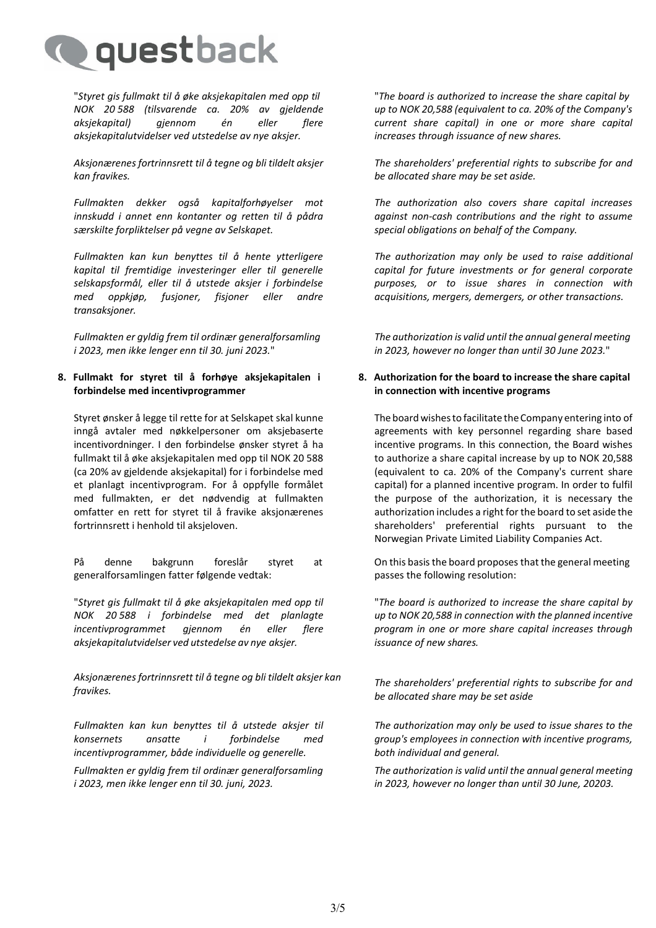

"*Styret gis fullmakt til å øke aksjekapitalen med opp til NOK 20 588 (tilsvarende ca. 20% av gjeldende aksjekapital) gjennom én eller flere aksjekapitalutvidelser ved utstedelse av nye aksjer.*

*Aksjonærenes fortrinnsrett til å tegne og bli tildelt aksjer kan fravikes.*

*Fullmakten dekker også kapitalforhøyelser mot innskudd i annet enn kontanter og retten til å pådra særskilte forpliktelser på vegne av Selskapet.*

*Fullmakten kan kun benyttes til å hente ytterligere kapital til fremtidige investeringer eller til generelle selskapsformål, eller til å utstede aksjer i forbindelse med oppkjøp, fusjoner, fisjoner eller andre transaksjoner.*

*Fullmakten er gyldig frem til ordinær generalforsamling i 2023, men ikke lenger enn til 30. juni 2023.*"

# **8. Fullmakt for styret til å forhøye aksjekapitalen i forbindelse med incentivprogrammer**

Styret ønsker å legge til rette for at Selskapet skal kunne inngå avtaler med nøkkelpersoner om aksjebaserte incentivordninger. I den forbindelse ønsker styret å ha fullmakt til å øke aksjekapitalen med opp til NOK 20 588 (ca 20% av gjeldende aksjekapital) for i forbindelse med et planlagt incentivprogram. For å oppfylle formålet med fullmakten, er det nødvendig at fullmakten omfatter en rett for styret til å fravike aksjonærenes fortrinnsrett i henhold til aksjeloven.

På denne bakgrunn foreslår styret at generalforsamlingen fatter følgende vedtak:

"*Styret gis fullmakt til å øke aksjekapitalen med opp til NOK 20 588 i forbindelse med det planlagte incentivprogrammet gjennom én eller flere aksjekapitalutvidelser ved utstedelse av nye aksjer.*

*Aksjonærenes fortrinnsrett til å tegne og bli tildelt aksjer kan fravikes. The shareholders' preferential rights to subscribe for and* 

*Fullmakten kan kun benyttes til å utstede aksjer til konsernets ansatte i forbindelse med incentivprogrammer, både individuelle og generelle.*

*Fullmakten er gyldig frem til ordinær generalforsamling i 2023, men ikke lenger enn til 30. juni, 2023.*

"*The board is authorized to increase the share capital by up to NOK 20,588 (equivalent to ca. 20% of the Company's current share capital) in one or more share capital increases through issuance of new shares.*

*The shareholders' preferential rights to subscribe for and be allocated share may be set aside.*

*The authorization also covers share capital increases against non-cash contributions and the right to assume special obligations on behalf of the Company.*

*The authorization may only be used to raise additional capital for future investments or for general corporate purposes, or to issue shares in connection with acquisitions, mergers, demergers, or other transactions.*

*The authorization is valid until the annual general meeting in 2023, however no longer than until 30 June 2023.*"

# **8. Authorization for the board to increase the share capital in connection with incentive programs**

The board wishes to facilitate the Company entering into of agreements with key personnel regarding share based incentive programs. In this connection, the Board wishes to authorize a share capital increase by up to NOK 20,588 (equivalent to ca. 20% of the Company's current share capital) for a planned incentive program. In order to fulfil the purpose of the authorization, it is necessary the authorization includes a right for the board to set aside the shareholders' preferential rights pursuant to the Norwegian Private Limited Liability Companies Act.

On this basisthe board proposes that the general meeting passes the following resolution:

"*The board is authorized to increase the share capital by up to NOK 20,588 in connection with the planned incentive program in one or more share capital increases through issuance of new shares.*

*be allocated share may be set aside*

*The authorization may only be used to issue shares to the group's employees in connection with incentive programs, both individual and general.*

*The authorization is valid until the annual general meeting in 2023, however no longer than until 30 June, 20203.*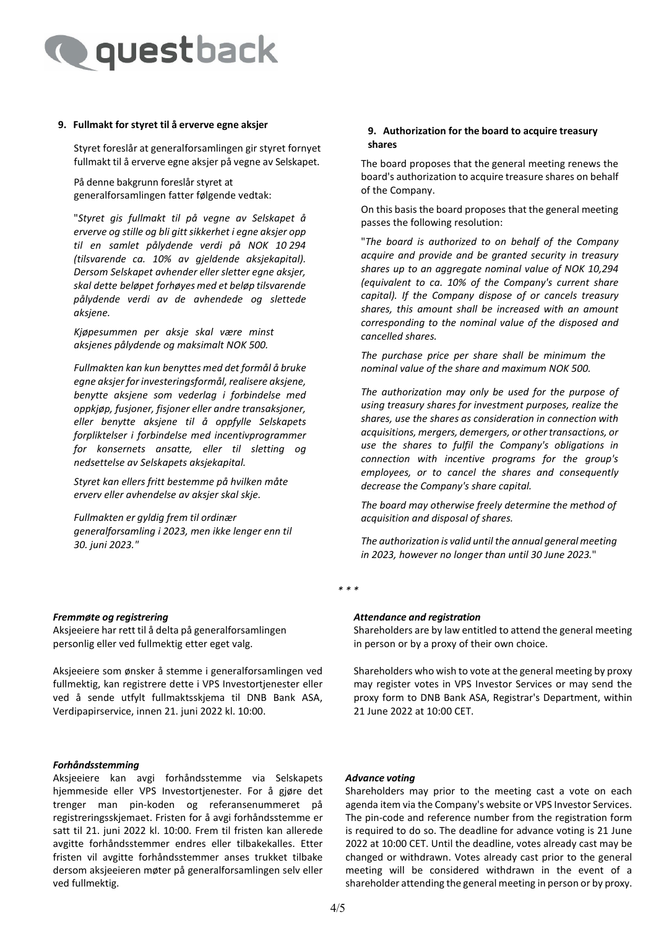

#### **9. Fullmakt for styret til å erverve egne aksjer**

Styret foreslår at generalforsamlingen gir styret fornyet fullmakt til å erverve egne aksjer på vegne av Selskapet.

På denne bakgrunn foreslår styret at generalforsamlingen fatter følgende vedtak:

"*Styret gis fullmakt til på vegne av Selskapet å erverve og stille og bli gitt sikkerhet i egne aksjer opp til en samlet pålydende verdi på NOK 10 294 (tilsvarende ca. 10% av gjeldende aksjekapital). Dersom Selskapet avhender eller sletter egne aksjer, skal dette beløpet forhøyes med et beløp tilsvarende pålydende verdi av de avhendede og slettede aksjene.*

*Kjøpesummen per aksje skal være minst aksjenes pålydende og maksimalt NOK 500.*

*Fullmakten kan kun benyttes med det formål å bruke egne aksjer for investeringsformål, realisere aksjene, benytte aksjene som vederlag i forbindelse med oppkjøp, fusjoner, fisjoner eller andre transaksjoner, eller benytte aksjene til å oppfylle Selskapets forpliktelser i forbindelse med incentivprogrammer for konsernets ansatte, eller til sletting og nedsettelse av Selskapets aksjekapital.* 

*Styret kan ellers fritt bestemme på hvilken måte erverv eller avhendelse av aksjer skal skje.*

*Fullmakten er gyldig frem til ordinær generalforsamling i 2023, men ikke lenger enn til 30. juni 2023."*

#### *Fremmøte og registrering*

Aksjeeiere har rett til å delta på generalforsamlingen personlig eller ved fullmektig etter eget valg.

Aksjeeiere som ønsker å stemme i generalforsamlingen ved fullmektig, kan registrere dette i VPS Investortjenester eller ved å sende utfylt fullmaktsskjema til DNB Bank ASA, Verdipapirservice, innen 21. juni 2022 kl. 10:00.

#### *Forhåndsstemming*

Aksjeeiere kan avgi forhåndsstemme via Selskapets hjemmeside eller VPS Investortjenester. For å gjøre det trenger man pin-koden og referansenummeret på registreringsskjemaet. Fristen for å avgi forhåndsstemme er satt til 21. juni 2022 kl. 10:00. Frem til fristen kan allerede avgitte forhåndsstemmer endres eller tilbakekalles. Etter fristen vil avgitte forhåndsstemmer anses trukket tilbake dersom aksjeeieren møter på generalforsamlingen selv eller ved fullmektig.

#### **9. Authorization for the board to acquire treasury shares**

The board proposes that the general meeting renews the board's authorization to acquire treasure shares on behalf of the Company.

On this basis the board proposes that the general meeting passes the following resolution:

"*The board is authorized to on behalf of the Company acquire and provide and be granted security in treasury shares up to an aggregate nominal value of NOK 10,294 (equivalent to ca. 10% of the Company's current share capital). If the Company dispose of or cancels treasury shares, this amount shall be increased with an amount corresponding to the nominal value of the disposed and cancelled shares.*

*The purchase price per share shall be minimum the nominal value of the share and maximum NOK 500.*

*The authorization may only be used for the purpose of using treasury shares for investment purposes, realize the shares, use the shares as consideration in connection with*   $acquisitions$ , *mergers*, *demergers*, *or other transactions*, *or use the shares to fulfil the Company's obligations in connection with incentive programs for the group's employees, or to cancel the shares and consequently decrease the Company's share capital.*

*The board may otherwise freely determine the method of acquisition and disposal of shares.*

*The authorization is valid until the annual general meeting in 2023, however no longer than until 30 June 2023.*"

*\* \* \**

#### *Attendance and registration*

Shareholders are by law entitled to attend the general meeting in person or by a proxy of their own choice.

Shareholders who wish to vote at the general meeting by proxy may register votes in VPS Investor Services or may send the proxy form to DNB Bank ASA, Registrar's Department, within 21 June 2022 at 10:00 CET.

#### *Advance voting*

Shareholders may prior to the meeting cast a vote on each agenda item via the Company's website or VPS Investor Services. The pin-code and reference number from the registration form is required to do so. The deadline for advance voting is 21 June 2022 at 10:00 CET. Until the deadline, votes already cast may be changed or withdrawn. Votes already cast prior to the general meeting will be considered withdrawn in the event of a shareholder attending the general meeting in person or by proxy.